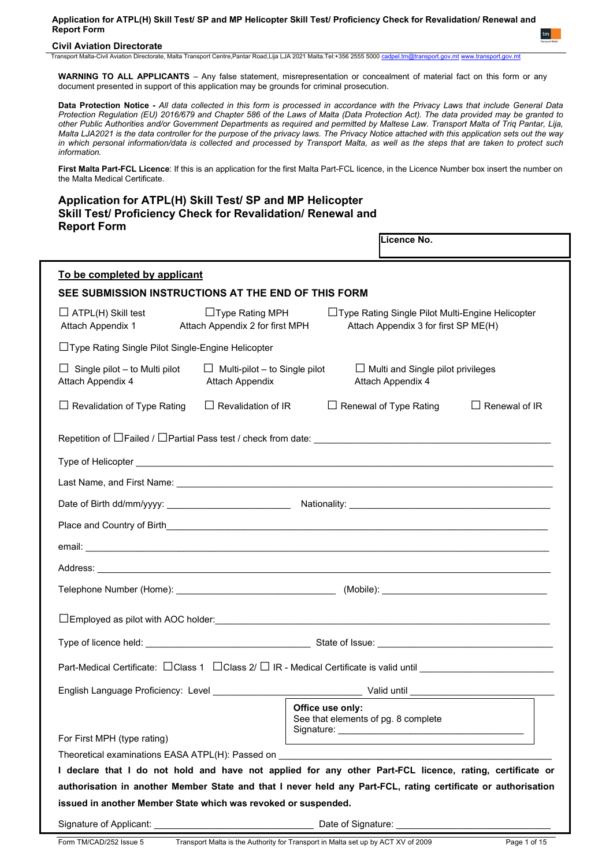## **Civil Aviation Directorate**

Transport Malta-Civil Aviation Directorate, Malta Transport Centre,Pantar Road,Lija LJA 2021 Malta.Tel:+356 2555 5000

**WARNING TO ALL APPLICANTS** – Any false statement, misrepresentation or concealment of material fact on this form or any document presented in support of this application may be grounds for criminal prosecution.

**Data Protection Notice -** *All data collected in this form is processed in accordance with the Privacy Laws that include General Data Protection Regulation (EU) 2016/679 and Chapter 586 of the Laws of Malta (Data Protection Act). The data provided may be granted to other Public Authorities and/or Government Departments as required and permitted by Maltese Law. Transport Malta of Triq Pantar, Lija, Malta LJA2021 is the data controller for the purpose of the privacy laws. The Privacy Notice attached with this application sets out the way in which personal information/data is collected and processed by Transport Malta, as well as the steps that are taken to protect such information.*

**First Malta Part-FCL Licence**: If this is an application for the first Malta Part-FCL licence, in the Licence Number box insert the number on the Malta Medical Certificate.

**Application for ATPL(H) Skill Test/ SP and MP Helicopter Skill Test/ Proficiency Check for Revalidation/ Renewal and Report Form**

|                                                                                                                       |                                                                | Licence No.                                                                                |                      |
|-----------------------------------------------------------------------------------------------------------------------|----------------------------------------------------------------|--------------------------------------------------------------------------------------------|----------------------|
| To be completed by applicant                                                                                          |                                                                |                                                                                            |                      |
| SEE SUBMISSION INSTRUCTIONS AT THE END OF THIS FORM                                                                   |                                                                |                                                                                            |                      |
| $\Box$ ATPL(H) Skill test<br>Attach Appendix 1                                                                        | $\Box$ Type Rating MPH<br>Attach Appendix 2 for first MPH      | □ Type Rating Single Pilot Multi-Engine Helicopter<br>Attach Appendix 3 for first SP ME(H) |                      |
| □Type Rating Single Pilot Single-Engine Helicopter                                                                    |                                                                |                                                                                            |                      |
| Single pilot - to Multi pilot<br>ப<br>Attach Appendix 4                                                               | $\Box$ Multi-pilot – to Single pilot<br><b>Attach Appendix</b> | $\Box$ Multi and Single pilot privileges<br>Attach Appendix 4                              |                      |
| $\Box$ Revalidation of Type Rating                                                                                    | $\Box$ Revalidation of IR                                      | $\Box$ Renewal of Type Rating                                                              | $\Box$ Renewal of IR |
|                                                                                                                       |                                                                |                                                                                            |                      |
|                                                                                                                       |                                                                |                                                                                            |                      |
|                                                                                                                       |                                                                |                                                                                            |                      |
|                                                                                                                       |                                                                |                                                                                            |                      |
|                                                                                                                       |                                                                |                                                                                            |                      |
|                                                                                                                       |                                                                |                                                                                            |                      |
|                                                                                                                       |                                                                |                                                                                            |                      |
|                                                                                                                       |                                                                |                                                                                            |                      |
|                                                                                                                       |                                                                |                                                                                            |                      |
|                                                                                                                       |                                                                |                                                                                            |                      |
| Part-Medical Certificate: □ Class 1 □ Class 2/ □ IR - Medical Certificate is valid until ____________________________ |                                                                |                                                                                            |                      |
| English Language Proficiency: Level                                                                                   |                                                                | Valid until                                                                                |                      |
|                                                                                                                       |                                                                | Office use only:<br>See that elements of pg. 8 complete                                    |                      |
| For First MPH (type rating)                                                                                           |                                                                |                                                                                            |                      |
| I declare that I do not hold and have not applied for any other Part-FCL licence, rating, certificate or              |                                                                |                                                                                            |                      |
| authorisation in another Member State and that I never held any Part-FCL, rating certificate or authorisation         |                                                                |                                                                                            |                      |
| issued in another Member State which was revoked or suspended.                                                        |                                                                |                                                                                            |                      |
|                                                                                                                       |                                                                | Date of Signature: _________________                                                       |                      |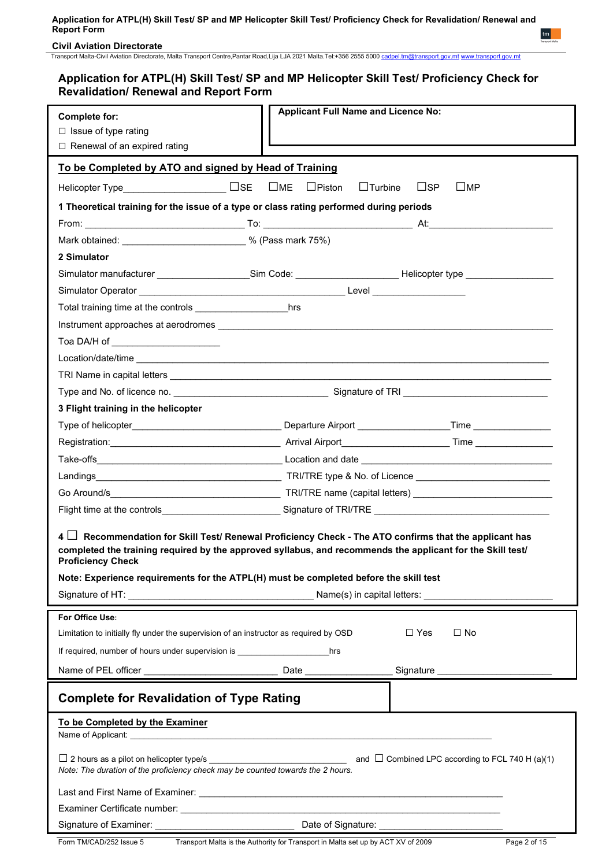**Civil Aviation Directorate**

Transport Malta-Civil Aviation Directorate, Malta Transport Centre,Pantar Road,Lija LJA 2021 Malta.Tel:+356 2555 5000 [cadpel.tm@transport.gov.mt](mailto:cadpel.tm@transport.gov.mt) [www.transport.gov.mt](http://www.transport.gov.mt/)

## **Application for ATPL(H) Skill Test/ SP and MP Helicopter Skill Test/ Proficiency Check for Revalidation/ Renewal and Report Form**

|                                                                                                                                                                                                                                                                                                                                                   | <b>Applicant Full Name and Licence No:</b>                                    |                                     |  |  |  |
|---------------------------------------------------------------------------------------------------------------------------------------------------------------------------------------------------------------------------------------------------------------------------------------------------------------------------------------------------|-------------------------------------------------------------------------------|-------------------------------------|--|--|--|
| <b>Complete for:</b><br>$\Box$ Issue of type rating                                                                                                                                                                                                                                                                                               |                                                                               |                                     |  |  |  |
| □ Renewal of an expired rating                                                                                                                                                                                                                                                                                                                    |                                                                               |                                     |  |  |  |
|                                                                                                                                                                                                                                                                                                                                                   |                                                                               |                                     |  |  |  |
| To be Completed by ATO and signed by Head of Training                                                                                                                                                                                                                                                                                             |                                                                               |                                     |  |  |  |
|                                                                                                                                                                                                                                                                                                                                                   | $\square$ ME<br>$\Box$ Piston<br>$\Box$ Turbine<br>$\sqcup$ SP<br>$\sqcup$ MP |                                     |  |  |  |
| 1 Theoretical training for the issue of a type or class rating performed during periods                                                                                                                                                                                                                                                           |                                                                               |                                     |  |  |  |
|                                                                                                                                                                                                                                                                                                                                                   |                                                                               |                                     |  |  |  |
| Mark obtained: ______________________________ % (Pass mark 75%)                                                                                                                                                                                                                                                                                   |                                                                               |                                     |  |  |  |
| 2 Simulator                                                                                                                                                                                                                                                                                                                                       |                                                                               |                                     |  |  |  |
| Simulator manufacturer ________________Sim Code: _____________________Helicopter type ______________                                                                                                                                                                                                                                              |                                                                               |                                     |  |  |  |
|                                                                                                                                                                                                                                                                                                                                                   |                                                                               |                                     |  |  |  |
|                                                                                                                                                                                                                                                                                                                                                   |                                                                               |                                     |  |  |  |
|                                                                                                                                                                                                                                                                                                                                                   |                                                                               |                                     |  |  |  |
| Toa DA/H of _______________________                                                                                                                                                                                                                                                                                                               |                                                                               |                                     |  |  |  |
|                                                                                                                                                                                                                                                                                                                                                   |                                                                               |                                     |  |  |  |
|                                                                                                                                                                                                                                                                                                                                                   |                                                                               |                                     |  |  |  |
|                                                                                                                                                                                                                                                                                                                                                   |                                                                               |                                     |  |  |  |
| 3 Flight training in the helicopter                                                                                                                                                                                                                                                                                                               |                                                                               |                                     |  |  |  |
|                                                                                                                                                                                                                                                                                                                                                   |                                                                               |                                     |  |  |  |
|                                                                                                                                                                                                                                                                                                                                                   |                                                                               |                                     |  |  |  |
|                                                                                                                                                                                                                                                                                                                                                   |                                                                               |                                     |  |  |  |
|                                                                                                                                                                                                                                                                                                                                                   |                                                                               |                                     |  |  |  |
|                                                                                                                                                                                                                                                                                                                                                   |                                                                               |                                     |  |  |  |
| Flight time at the controls___________________________Signature of TRI/TRE _________________________                                                                                                                                                                                                                                              |                                                                               |                                     |  |  |  |
| 4<br>$\Box$ Recommendation for Skill Test/ Renewal Proficiency Check - The ATO confirms that the applicant has<br>completed the training required by the approved syllabus, and recommends the applicant for the Skill test/<br><b>Proficiency Check</b><br>Note: Experience requirements for the ATPL(H) must be completed before the skill test |                                                                               |                                     |  |  |  |
|                                                                                                                                                                                                                                                                                                                                                   |                                                                               |                                     |  |  |  |
| For Office Use:                                                                                                                                                                                                                                                                                                                                   |                                                                               |                                     |  |  |  |
| Limitation to initially fly under the supervision of an instructor as required by OSD                                                                                                                                                                                                                                                             |                                                                               | $\square$ No<br>$\Box$ Yes          |  |  |  |
| If required, number of hours under supervision is ______________________________                                                                                                                                                                                                                                                                  | hrs                                                                           |                                     |  |  |  |
|                                                                                                                                                                                                                                                                                                                                                   |                                                                               | Signature _________________________ |  |  |  |
| <b>Complete for Revalidation of Type Rating</b>                                                                                                                                                                                                                                                                                                   |                                                                               |                                     |  |  |  |
| To be Completed by the Examiner                                                                                                                                                                                                                                                                                                                   |                                                                               |                                     |  |  |  |
|                                                                                                                                                                                                                                                                                                                                                   |                                                                               |                                     |  |  |  |
|                                                                                                                                                                                                                                                                                                                                                   |                                                                               |                                     |  |  |  |
|                                                                                                                                                                                                                                                                                                                                                   |                                                                               |                                     |  |  |  |
|                                                                                                                                                                                                                                                                                                                                                   |                                                                               |                                     |  |  |  |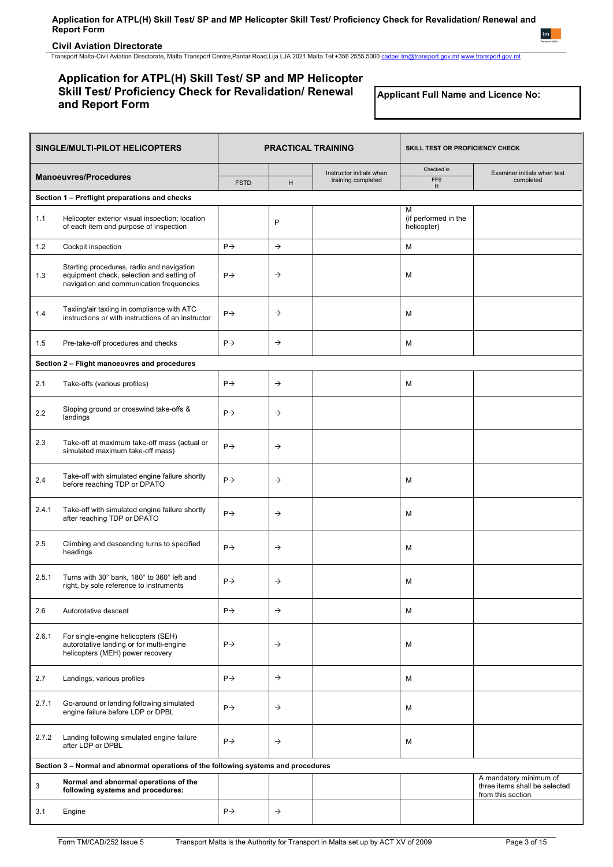## **Civil Aviation Directorate**

Transport Malta-Civil Aviation Directorate, Malta Transport Centre,Pantar Road,Lija LJA 2021 Malta.Tel:+356 2555 5000 [cadpel.tm@transport.gov.mt](mailto:cadpel.tm@transport.gov.mt) [www.transport.gov.mt](http://www.transport.gov.mt/)

## **Application for ATPL(H) Skill Test/ SP and MP Helicopter Skill Test/ Proficiency Check for Revalidation/ Renewal and Report Form**

**Applicant Full Name and Licence No:**

| SINGLE/MULTI-PILOT HELICOPTERS |                                                                                                                                    | <b>PRACTICAL TRAINING</b> |               |                          | SKILL TEST OR PROFICIENCY CHECK     |                                                                              |
|--------------------------------|------------------------------------------------------------------------------------------------------------------------------------|---------------------------|---------------|--------------------------|-------------------------------------|------------------------------------------------------------------------------|
|                                | <b>Manoeuvres/Procedures</b>                                                                                                       |                           |               | Instructor initials when | Checked in                          | Examiner initials when test                                                  |
|                                |                                                                                                                                    | <b>FSTD</b>               | H             | training completed       | <b>FFS</b><br>H                     | completed                                                                    |
|                                | Section 1 - Preflight preparations and checks                                                                                      |                           |               |                          | м                                   |                                                                              |
| 1.1                            | Helicopter exterior visual inspection; location<br>of each item and purpose of inspection                                          |                           | P             |                          | (if performed in the<br>helicopter) |                                                                              |
| 1.2                            | Cockpit inspection                                                                                                                 | $P \rightarrow$           | $\rightarrow$ |                          | м                                   |                                                                              |
| 1.3                            | Starting procedures, radio and navigation<br>equipment check, selection and setting of<br>navigation and communication frequencies | $P \rightarrow$           | $\rightarrow$ |                          | M                                   |                                                                              |
| 1.4                            | Taxiing/air taxiing in compliance with ATC<br>instructions or with instructions of an instructor                                   | $P \rightarrow$           | $\rightarrow$ |                          | M                                   |                                                                              |
| 1.5                            | Pre-take-off procedures and checks                                                                                                 | $P \rightarrow$           | $\rightarrow$ |                          | м                                   |                                                                              |
|                                | Section 2 - Flight manoeuvres and procedures                                                                                       |                           |               |                          |                                     |                                                                              |
| 2.1                            | Take-offs (various profiles)                                                                                                       | $P \rightarrow$           | $\rightarrow$ |                          | м                                   |                                                                              |
| 2.2                            | Sloping ground or crosswind take-offs &<br>landings                                                                                | $P \rightarrow$           | $\rightarrow$ |                          |                                     |                                                                              |
| 2.3                            | Take-off at maximum take-off mass (actual or<br>simulated maximum take-off mass)                                                   | $P \rightarrow$           | $\rightarrow$ |                          |                                     |                                                                              |
| 2.4                            | Take-off with simulated engine failure shortly<br>before reaching TDP or DPATO                                                     | $P \rightarrow$           | $\rightarrow$ |                          | M                                   |                                                                              |
| 2.4.1                          | Take-off with simulated engine failure shortly<br>after reaching TDP or DPATO                                                      | $P \rightarrow$           | $\rightarrow$ |                          | M                                   |                                                                              |
| 2.5                            | Climbing and descending turns to specified<br>headings                                                                             | $P \rightarrow$           | $\rightarrow$ |                          | M                                   |                                                                              |
| 2.5.1                          | Turns with 30° bank, 180° to 360° left and<br>right, by sole reference to instruments                                              | $P \rightarrow$           | →             |                          | м                                   |                                                                              |
| 2.6                            | Autorotative descent                                                                                                               | $P\rightarrow$            | $\rightarrow$ |                          | М                                   |                                                                              |
| 2.6.1                          | For single-engine helicopters (SEH)<br>autorotative landing or for multi-engine<br>helicopters (MEH) power recovery                | $P \rightarrow$           | $\rightarrow$ |                          | м                                   |                                                                              |
| 2.7                            | Landings, various profiles                                                                                                         | $P \rightarrow$           | $\rightarrow$ |                          | м                                   |                                                                              |
| 2.7.1                          | Go-around or landing following simulated<br>engine failure before LDP or DPBL                                                      | $P \rightarrow$           | $\rightarrow$ |                          | м                                   |                                                                              |
| 2.7.2                          | Landing following simulated engine failure<br>after LDP or DPBL                                                                    | $P \rightarrow$           | $\rightarrow$ |                          | М                                   |                                                                              |
|                                | Section 3 - Normal and abnormal operations of the following systems and procedures                                                 |                           |               |                          |                                     |                                                                              |
| 3                              | Normal and abnormal operations of the<br>following systems and procedures:                                                         |                           |               |                          |                                     | A mandatory minimum of<br>three items shall be selected<br>from this section |
| 3.1                            | Engine                                                                                                                             | $P \rightarrow$           | $\rightarrow$ |                          |                                     |                                                                              |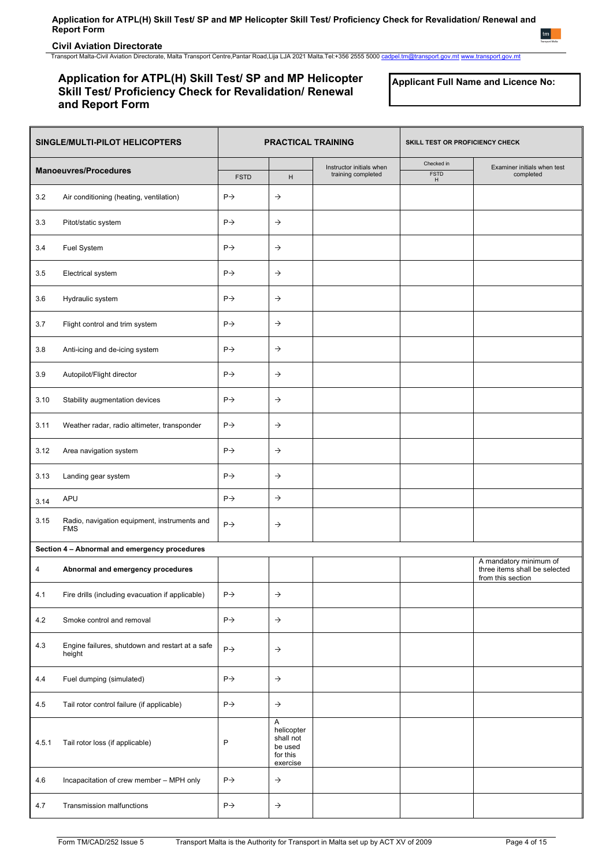## **Civil Aviation Directorate**

Transport Malta-Civil Aviation Directorate, Malta Transport Centre,Pantar Road,Lija LJA 2021 Malta.Tel:+356 2555 5000 [cadpel.tm@transport.gov.mt](mailto:cadpel.tm@transport.gov.mt) [www.transport.gov.mt](http://www.transport.gov.mt/)

## **Application for ATPL(H) Skill Test/ SP and MP Helicopter Skill Test/ Proficiency Check for Revalidation/ Renewal and Report Form**

**Applicant Full Name and Licence No:**

| SINGLE/MULTI-PILOT HELICOPTERS |                                                            | <b>PRACTICAL TRAINING</b> |                                                                 | SKILL TEST OR PROFICIENCY CHECK                |                                |                                                                              |
|--------------------------------|------------------------------------------------------------|---------------------------|-----------------------------------------------------------------|------------------------------------------------|--------------------------------|------------------------------------------------------------------------------|
|                                | <b>Manoeuvres/Procedures</b>                               | <b>FSTD</b>               | H                                                               | Instructor initials when<br>training completed | Checked in<br><b>FSTD</b><br>H | Examiner initials when test<br>completed                                     |
| 3.2                            | Air conditioning (heating, ventilation)                    | $P \rightarrow$           | $\rightarrow$                                                   |                                                |                                |                                                                              |
| 3.3                            | Pitot/static system                                        | $P \rightarrow$           | $\rightarrow$                                                   |                                                |                                |                                                                              |
| 3.4                            | Fuel System                                                | $P \rightarrow$           | $\rightarrow$                                                   |                                                |                                |                                                                              |
| 3.5                            | Electrical system                                          | $P \rightarrow$           | $\rightarrow$                                                   |                                                |                                |                                                                              |
| 3.6                            | Hydraulic system                                           | $P \rightarrow$           | $\rightarrow$                                                   |                                                |                                |                                                                              |
| 3.7                            | Flight control and trim system                             | $P \rightarrow$           | $\rightarrow$                                                   |                                                |                                |                                                                              |
| 3.8                            | Anti-icing and de-icing system                             | $P \rightarrow$           | $\rightarrow$                                                   |                                                |                                |                                                                              |
| 3.9                            | Autopilot/Flight director                                  | $P \rightarrow$           | $\rightarrow$                                                   |                                                |                                |                                                                              |
| 3.10                           | Stability augmentation devices                             | $P \rightarrow$           | $\rightarrow$                                                   |                                                |                                |                                                                              |
| 3.11                           | Weather radar, radio altimeter, transponder                | $P \rightarrow$           | $\rightarrow$                                                   |                                                |                                |                                                                              |
| 3.12                           | Area navigation system                                     | $P \rightarrow$           | $\rightarrow$                                                   |                                                |                                |                                                                              |
| 3.13                           | Landing gear system                                        | $P \rightarrow$           | $\rightarrow$                                                   |                                                |                                |                                                                              |
| 3.14                           | <b>APU</b>                                                 | $P \rightarrow$           | $\rightarrow$                                                   |                                                |                                |                                                                              |
| 3.15                           | Radio, navigation equipment, instruments and<br><b>FMS</b> | $P \rightarrow$           | $\rightarrow$                                                   |                                                |                                |                                                                              |
|                                | Section 4 - Abnormal and emergency procedures              |                           |                                                                 |                                                |                                |                                                                              |
| 4                              | Abnormal and emergency procedures                          |                           |                                                                 |                                                |                                | A mandatory minimum of<br>three items shall be selected<br>from this section |
| 4.1                            | Fire drills (including evacuation if applicable)           | $P \rightarrow$           | $\rightarrow$                                                   |                                                |                                |                                                                              |
| 4.2                            | Smoke control and removal                                  | $P \rightarrow$           | $\rightarrow$                                                   |                                                |                                |                                                                              |
| 4.3                            | Engine failures, shutdown and restart at a safe<br>height  | $P \rightarrow$           | $\rightarrow$                                                   |                                                |                                |                                                                              |
| 4.4                            | Fuel dumping (simulated)                                   | $P \rightarrow$           | $\rightarrow$                                                   |                                                |                                |                                                                              |
| 4.5                            | Tail rotor control failure (if applicable)                 | $P \rightarrow$           | $\rightarrow$                                                   |                                                |                                |                                                                              |
| 4.5.1                          | Tail rotor loss (if applicable)                            | P                         | Α<br>helicopter<br>shall not<br>be used<br>for this<br>exercise |                                                |                                |                                                                              |
| 4.6                            | Incapacitation of crew member - MPH only                   | $P \rightarrow$           | $\rightarrow$                                                   |                                                |                                |                                                                              |
| 4.7                            | Transmission malfunctions                                  | $P \rightarrow$           | $\rightarrow$                                                   |                                                |                                |                                                                              |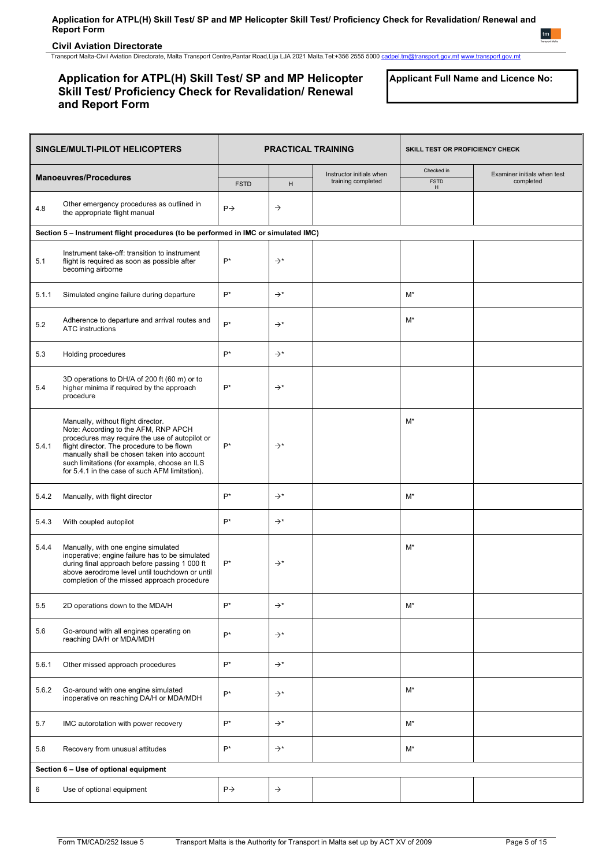**Civil Aviation Directorate**

Transport Malta-Civil Aviation Directorate, Malta Transport Centre,Pantar Road,Lija LJA 2021 Malta.Tel:+356 2555 5000 [cadpel.tm@transport.gov.mt](mailto:cadpel.tm@transport.gov.mt) [www.transport.gov.mt](http://www.transport.gov.mt/)

## **Application for ATPL(H) Skill Test/ SP and MP Helicopter Skill Test/ Proficiency Check for Revalidation/ Renewal and Report Form**

**Applicant Full Name and Licence No:**

| SINGLE/MULTI-PILOT HELICOPTERS |                                                                                                                                                                                                                                                                                                                             | <b>PRACTICAL TRAINING</b> |                 | SKILL TEST OR PROFICIENCY CHECK                |                                |                                          |
|--------------------------------|-----------------------------------------------------------------------------------------------------------------------------------------------------------------------------------------------------------------------------------------------------------------------------------------------------------------------------|---------------------------|-----------------|------------------------------------------------|--------------------------------|------------------------------------------|
|                                | <b>Manoeuvres/Procedures</b>                                                                                                                                                                                                                                                                                                | <b>FSTD</b>               | H               | Instructor initials when<br>training completed | Checked in<br><b>FSTD</b><br>H | Examiner initials when test<br>completed |
| 4.8                            | Other emergency procedures as outlined in<br>the appropriate flight manual                                                                                                                                                                                                                                                  | $P \rightarrow$           | $\rightarrow$   |                                                |                                |                                          |
|                                | Section 5 - Instrument flight procedures (to be performed in IMC or simulated IMC)                                                                                                                                                                                                                                          |                           |                 |                                                |                                |                                          |
| 5.1                            | Instrument take-off: transition to instrument<br>flight is required as soon as possible after<br>becoming airborne                                                                                                                                                                                                          | $P^*$                     | $\rightarrow^*$ |                                                |                                |                                          |
| 5.1.1                          | Simulated engine failure during departure                                                                                                                                                                                                                                                                                   | $P^*$                     | $\rightarrow^*$ |                                                | M*                             |                                          |
| 5.2                            | Adherence to departure and arrival routes and<br><b>ATC</b> instructions                                                                                                                                                                                                                                                    | $P^*$                     | $\rightarrow^*$ |                                                | $M^*$                          |                                          |
| 5.3                            | Holding procedures                                                                                                                                                                                                                                                                                                          | $P^*$                     | $\rightarrow^*$ |                                                |                                |                                          |
| 5.4                            | 3D operations to DH/A of 200 ft (60 m) or to<br>higher minima if required by the approach<br>procedure                                                                                                                                                                                                                      | $P^*$                     | $\rightarrow^*$ |                                                |                                |                                          |
| 5.4.1                          | Manually, without flight director.<br>Note: According to the AFM, RNP APCH<br>procedures may require the use of autopilot or<br>flight director. The procedure to be flown<br>manually shall be chosen taken into account<br>such limitations (for example, choose an ILS<br>for 5.4.1 in the case of such AFM limitation). | $P^*$                     | $\rightarrow^*$ |                                                | M*                             |                                          |
| 5.4.2                          | Manually, with flight director                                                                                                                                                                                                                                                                                              | $P^*$                     | $\rightarrow^*$ |                                                | $M^*$                          |                                          |
| 5.4.3                          | With coupled autopilot                                                                                                                                                                                                                                                                                                      | $P^*$                     | $\rightarrow^*$ |                                                |                                |                                          |
| 5.4.4                          | Manually, with one engine simulated<br>inoperative; engine failure has to be simulated<br>during final approach before passing 1 000 ft<br>above aerodrome level until touchdown or until<br>completion of the missed approach procedure                                                                                    | $P^*$                     | $\rightarrow^*$ |                                                | M*                             |                                          |
| 5.5                            | 2D operations down to the MDA/H                                                                                                                                                                                                                                                                                             | $P^*$                     | $\rightarrow^*$ |                                                | M*                             |                                          |
| 5.6                            | Go-around with all engines operating on<br>reaching DA/H or MDA/MDH                                                                                                                                                                                                                                                         | $P^*$                     | $\rightarrow^*$ |                                                |                                |                                          |
| 5.6.1                          | Other missed approach procedures                                                                                                                                                                                                                                                                                            | $P^*$                     | $\rightarrow^*$ |                                                |                                |                                          |
| 5.6.2                          | Go-around with one engine simulated<br>inoperative on reaching DA/H or MDA/MDH                                                                                                                                                                                                                                              | $P^*$                     | $\rightarrow^*$ |                                                | M*                             |                                          |
| 5.7                            | IMC autorotation with power recovery                                                                                                                                                                                                                                                                                        | $P^*$                     | $\rightarrow^*$ |                                                | $M^*$                          |                                          |
| 5.8                            | Recovery from unusual attitudes                                                                                                                                                                                                                                                                                             | $P^*$                     | $\rightarrow^*$ |                                                | $M^*$                          |                                          |
|                                | Section 6 - Use of optional equipment                                                                                                                                                                                                                                                                                       |                           |                 |                                                |                                |                                          |
| 6                              | Use of optional equipment                                                                                                                                                                                                                                                                                                   | $P \rightarrow$           | $\rightarrow$   |                                                |                                |                                          |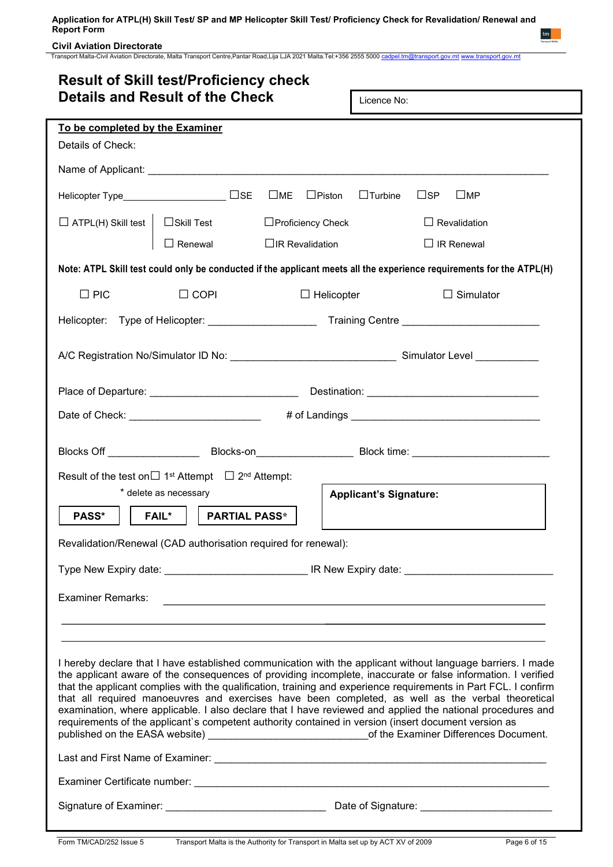## **Civil Aviation Directorate**

Transport Malta-Civil Aviation Directorate, Malta Transport Centre,Pantar Road,Lija LJA 2021 Malta.Tel:+356 2555 5000 [cadpel.tm@transport.gov.mt](mailto:cadpel.tm@transport.gov.mt) [www.transport.gov.mt](http://www.transport.gov.mt/)

| <b>Details and Result of the Check</b><br>Licence No:<br>To be completed by the Examiner<br>Details of Check:<br>$\Box$ Turbine<br>$\sqcup$ SP<br>$\square$ MP<br>$\Box$ ATPL(H) Skill test  <br>□Proficiency Check<br>$\Box$ Skill Test<br>$\Box$ Revalidation<br>$\Box$ Renewal $\Box$ IR Revalidation<br>$\Box$ IR Renewal<br>Note: ATPL Skill test could only be conducted if the applicant meets all the experience requirements for the ATPL(H)<br>$\Box$ PIC<br>$\Box$ COPI<br>$\Box$ Helicopter<br>$\Box$ Simulator<br>Helicopter: Type of Helicopter: _________________________Training Centre __________________________<br>Date of Check: __________________________   # of Landings ___________________________________<br>Blocks Off ___________________________Blocks-on_________________________Block time: __________________________<br>Result of the test on $\Box$ 1 <sup>st</sup> Attempt $\Box$ 2 <sup>nd</sup> Attempt:<br>* delete as necessary<br><b>Applicant's Signature:</b><br>PASS*<br><b>FAIL*</b><br><b>PARTIAL PASS*</b><br>Revalidation/Renewal (CAD authorisation required for renewal):<br><b>Examiner Remarks:</b><br><u> 1989 - Johann Stein, marwolaethau a bhann an t-Amhain ann an t-Amhain an t-Amhain an t-Amhain an t-Amhain an </u><br>I hereby declare that I have established communication with the applicant without language barriers. I made<br>the applicant aware of the consequences of providing incomplete, inaccurate or false information. I verified<br>that the applicant complies with the qualification, training and experience requirements in Part FCL. I confirm<br>that all required manoeuvres and exercises have been completed, as well as the verbal theoretical<br>examination, where applicable. I also declare that I have reviewed and applied the national procedures and<br>requirements of the applicant's competent authority contained in version (insert document version as<br>published on the EASA website) _______________________________of the Examiner Differences Document. | <b>Result of Skill test/Proficiency check</b> |  |  |  |  |  |
|---------------------------------------------------------------------------------------------------------------------------------------------------------------------------------------------------------------------------------------------------------------------------------------------------------------------------------------------------------------------------------------------------------------------------------------------------------------------------------------------------------------------------------------------------------------------------------------------------------------------------------------------------------------------------------------------------------------------------------------------------------------------------------------------------------------------------------------------------------------------------------------------------------------------------------------------------------------------------------------------------------------------------------------------------------------------------------------------------------------------------------------------------------------------------------------------------------------------------------------------------------------------------------------------------------------------------------------------------------------------------------------------------------------------------------------------------------------------------------------------------------------------------------------------------------------------------------------------------------------------------------------------------------------------------------------------------------------------------------------------------------------------------------------------------------------------------------------------------------------------------------------------------------------------------------------------------------------------------------------------------------------------------------------------------------------------|-----------------------------------------------|--|--|--|--|--|
|                                                                                                                                                                                                                                                                                                                                                                                                                                                                                                                                                                                                                                                                                                                                                                                                                                                                                                                                                                                                                                                                                                                                                                                                                                                                                                                                                                                                                                                                                                                                                                                                                                                                                                                                                                                                                                                                                                                                                                                                                                                                     |                                               |  |  |  |  |  |
|                                                                                                                                                                                                                                                                                                                                                                                                                                                                                                                                                                                                                                                                                                                                                                                                                                                                                                                                                                                                                                                                                                                                                                                                                                                                                                                                                                                                                                                                                                                                                                                                                                                                                                                                                                                                                                                                                                                                                                                                                                                                     |                                               |  |  |  |  |  |
|                                                                                                                                                                                                                                                                                                                                                                                                                                                                                                                                                                                                                                                                                                                                                                                                                                                                                                                                                                                                                                                                                                                                                                                                                                                                                                                                                                                                                                                                                                                                                                                                                                                                                                                                                                                                                                                                                                                                                                                                                                                                     |                                               |  |  |  |  |  |
|                                                                                                                                                                                                                                                                                                                                                                                                                                                                                                                                                                                                                                                                                                                                                                                                                                                                                                                                                                                                                                                                                                                                                                                                                                                                                                                                                                                                                                                                                                                                                                                                                                                                                                                                                                                                                                                                                                                                                                                                                                                                     |                                               |  |  |  |  |  |
|                                                                                                                                                                                                                                                                                                                                                                                                                                                                                                                                                                                                                                                                                                                                                                                                                                                                                                                                                                                                                                                                                                                                                                                                                                                                                                                                                                                                                                                                                                                                                                                                                                                                                                                                                                                                                                                                                                                                                                                                                                                                     |                                               |  |  |  |  |  |
|                                                                                                                                                                                                                                                                                                                                                                                                                                                                                                                                                                                                                                                                                                                                                                                                                                                                                                                                                                                                                                                                                                                                                                                                                                                                                                                                                                                                                                                                                                                                                                                                                                                                                                                                                                                                                                                                                                                                                                                                                                                                     |                                               |  |  |  |  |  |
|                                                                                                                                                                                                                                                                                                                                                                                                                                                                                                                                                                                                                                                                                                                                                                                                                                                                                                                                                                                                                                                                                                                                                                                                                                                                                                                                                                                                                                                                                                                                                                                                                                                                                                                                                                                                                                                                                                                                                                                                                                                                     |                                               |  |  |  |  |  |
|                                                                                                                                                                                                                                                                                                                                                                                                                                                                                                                                                                                                                                                                                                                                                                                                                                                                                                                                                                                                                                                                                                                                                                                                                                                                                                                                                                                                                                                                                                                                                                                                                                                                                                                                                                                                                                                                                                                                                                                                                                                                     |                                               |  |  |  |  |  |
|                                                                                                                                                                                                                                                                                                                                                                                                                                                                                                                                                                                                                                                                                                                                                                                                                                                                                                                                                                                                                                                                                                                                                                                                                                                                                                                                                                                                                                                                                                                                                                                                                                                                                                                                                                                                                                                                                                                                                                                                                                                                     |                                               |  |  |  |  |  |
|                                                                                                                                                                                                                                                                                                                                                                                                                                                                                                                                                                                                                                                                                                                                                                                                                                                                                                                                                                                                                                                                                                                                                                                                                                                                                                                                                                                                                                                                                                                                                                                                                                                                                                                                                                                                                                                                                                                                                                                                                                                                     |                                               |  |  |  |  |  |
|                                                                                                                                                                                                                                                                                                                                                                                                                                                                                                                                                                                                                                                                                                                                                                                                                                                                                                                                                                                                                                                                                                                                                                                                                                                                                                                                                                                                                                                                                                                                                                                                                                                                                                                                                                                                                                                                                                                                                                                                                                                                     |                                               |  |  |  |  |  |
|                                                                                                                                                                                                                                                                                                                                                                                                                                                                                                                                                                                                                                                                                                                                                                                                                                                                                                                                                                                                                                                                                                                                                                                                                                                                                                                                                                                                                                                                                                                                                                                                                                                                                                                                                                                                                                                                                                                                                                                                                                                                     |                                               |  |  |  |  |  |
|                                                                                                                                                                                                                                                                                                                                                                                                                                                                                                                                                                                                                                                                                                                                                                                                                                                                                                                                                                                                                                                                                                                                                                                                                                                                                                                                                                                                                                                                                                                                                                                                                                                                                                                                                                                                                                                                                                                                                                                                                                                                     |                                               |  |  |  |  |  |
|                                                                                                                                                                                                                                                                                                                                                                                                                                                                                                                                                                                                                                                                                                                                                                                                                                                                                                                                                                                                                                                                                                                                                                                                                                                                                                                                                                                                                                                                                                                                                                                                                                                                                                                                                                                                                                                                                                                                                                                                                                                                     |                                               |  |  |  |  |  |
|                                                                                                                                                                                                                                                                                                                                                                                                                                                                                                                                                                                                                                                                                                                                                                                                                                                                                                                                                                                                                                                                                                                                                                                                                                                                                                                                                                                                                                                                                                                                                                                                                                                                                                                                                                                                                                                                                                                                                                                                                                                                     |                                               |  |  |  |  |  |
|                                                                                                                                                                                                                                                                                                                                                                                                                                                                                                                                                                                                                                                                                                                                                                                                                                                                                                                                                                                                                                                                                                                                                                                                                                                                                                                                                                                                                                                                                                                                                                                                                                                                                                                                                                                                                                                                                                                                                                                                                                                                     |                                               |  |  |  |  |  |
|                                                                                                                                                                                                                                                                                                                                                                                                                                                                                                                                                                                                                                                                                                                                                                                                                                                                                                                                                                                                                                                                                                                                                                                                                                                                                                                                                                                                                                                                                                                                                                                                                                                                                                                                                                                                                                                                                                                                                                                                                                                                     |                                               |  |  |  |  |  |
|                                                                                                                                                                                                                                                                                                                                                                                                                                                                                                                                                                                                                                                                                                                                                                                                                                                                                                                                                                                                                                                                                                                                                                                                                                                                                                                                                                                                                                                                                                                                                                                                                                                                                                                                                                                                                                                                                                                                                                                                                                                                     |                                               |  |  |  |  |  |
|                                                                                                                                                                                                                                                                                                                                                                                                                                                                                                                                                                                                                                                                                                                                                                                                                                                                                                                                                                                                                                                                                                                                                                                                                                                                                                                                                                                                                                                                                                                                                                                                                                                                                                                                                                                                                                                                                                                                                                                                                                                                     |                                               |  |  |  |  |  |
|                                                                                                                                                                                                                                                                                                                                                                                                                                                                                                                                                                                                                                                                                                                                                                                                                                                                                                                                                                                                                                                                                                                                                                                                                                                                                                                                                                                                                                                                                                                                                                                                                                                                                                                                                                                                                                                                                                                                                                                                                                                                     |                                               |  |  |  |  |  |
|                                                                                                                                                                                                                                                                                                                                                                                                                                                                                                                                                                                                                                                                                                                                                                                                                                                                                                                                                                                                                                                                                                                                                                                                                                                                                                                                                                                                                                                                                                                                                                                                                                                                                                                                                                                                                                                                                                                                                                                                                                                                     |                                               |  |  |  |  |  |
|                                                                                                                                                                                                                                                                                                                                                                                                                                                                                                                                                                                                                                                                                                                                                                                                                                                                                                                                                                                                                                                                                                                                                                                                                                                                                                                                                                                                                                                                                                                                                                                                                                                                                                                                                                                                                                                                                                                                                                                                                                                                     |                                               |  |  |  |  |  |
|                                                                                                                                                                                                                                                                                                                                                                                                                                                                                                                                                                                                                                                                                                                                                                                                                                                                                                                                                                                                                                                                                                                                                                                                                                                                                                                                                                                                                                                                                                                                                                                                                                                                                                                                                                                                                                                                                                                                                                                                                                                                     |                                               |  |  |  |  |  |
|                                                                                                                                                                                                                                                                                                                                                                                                                                                                                                                                                                                                                                                                                                                                                                                                                                                                                                                                                                                                                                                                                                                                                                                                                                                                                                                                                                                                                                                                                                                                                                                                                                                                                                                                                                                                                                                                                                                                                                                                                                                                     |                                               |  |  |  |  |  |
|                                                                                                                                                                                                                                                                                                                                                                                                                                                                                                                                                                                                                                                                                                                                                                                                                                                                                                                                                                                                                                                                                                                                                                                                                                                                                                                                                                                                                                                                                                                                                                                                                                                                                                                                                                                                                                                                                                                                                                                                                                                                     |                                               |  |  |  |  |  |
|                                                                                                                                                                                                                                                                                                                                                                                                                                                                                                                                                                                                                                                                                                                                                                                                                                                                                                                                                                                                                                                                                                                                                                                                                                                                                                                                                                                                                                                                                                                                                                                                                                                                                                                                                                                                                                                                                                                                                                                                                                                                     |                                               |  |  |  |  |  |
|                                                                                                                                                                                                                                                                                                                                                                                                                                                                                                                                                                                                                                                                                                                                                                                                                                                                                                                                                                                                                                                                                                                                                                                                                                                                                                                                                                                                                                                                                                                                                                                                                                                                                                                                                                                                                                                                                                                                                                                                                                                                     |                                               |  |  |  |  |  |

 $t m$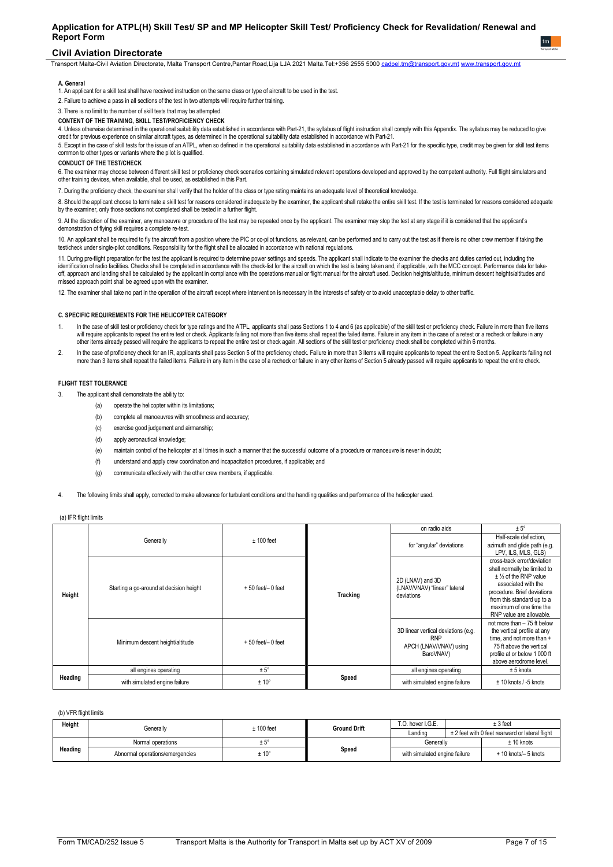### **Civil Aviation Directorate**

Transport Malta-Civil Aviation Directorate, Malta Transport Centre,Pantar Road,Lija LJA 2021 Malta.Tel:+356 2555 5000 [cadpel.tm@transport.gov.mt](mailto:cadpel.tm@transport.gov.mt) [www.transport.gov.mt](http://www.transport.gov.mt/)

#### **A.** Genera

1. An applicant for a skill test shall have received instruction on the same class or type of aircraft to be used in the test.

2. Failure to achieve a pass in all sections of the test in two attempts will require further training.

3. There is no limit to the number of skill tests that may be attempted.

### **CONTENT OF THE TRAINING, SKILL TEST/PROFICIENCY CHECK**

4. Unless otherwise determined in the operational suitability data established in accordance with Part-21, the syllabus of flight instruction shall comply with this Appendix. The syllabus may be reduced to give credit for previous experience on similar aircraft types, as determined in the operational suitability data established in accordance with Part-21.

5. Except in the case of skill tests for the issue of an ATPL, when so defined in the operational suitability data established in accordance with Part-21 for the specific type, credit may be given for skill test items common to other types or variants where the pilot is qualified.

## **CONDUCT OF THE TEST/CHECK**

o. The examiner may choose between different skill test or proficiency check scenarios containing simulated relevant operations developed and approved by the competent authority. Full filght simulators and<br>other training d

7. During the proficiency check, the examiner shall verify that the holder of the class or type rating maintains an adequate level of theoretical knowledge.

8. Should the applicant choose to terminate a skill test for reasons considered inadequate by the examiner, the applicant shall retake the entire skill test. If the test is terminated for reasons considered adequate by the examiner, only those sections not completed shall be tested in a further flight

9. At the discretion of the examiner, any manoeuvre or procedure of the test may be repeated once by the applicant. The examiner may stop the test at any stage if it is considered that the applicant's demonstration of flying skill requires a complete re-test.

10. An applicant shall be required to ny the aircratt from a position where the PIC of co-pliot functions, as relevant, can be performed and to carry out the test as if there is no other crew member if taking the<br>test/chec

11. During pre-flight preparation for the test the applicant is required to determine power settings and speeds. The applicant shall indicate to the examiner the checks and duties carried out, including the identification of radio facilities. Checks shall be completed in accordance with the check-list for the aircraft on which the test is being taken and, if applicable, with the MCC concept. Performance data for takeoff, approach and landing shall be calculated by the applicant in compliance with the operations manual or flight manual for the aircraft used. Decision heights/altitude, minimum descent heights/altitudes and missed approach point shall be agreed upon with the examiner.

12. The examiner shall take no part in the operation of the aircraft except where intervention is necessary in the interests of safety or to avoid unacceptable delay to other traffic.

#### **C. SPECIFIC REQUIREMENTS FOR THE HELICOPTER CATEGORY**

- 1. In the case of skill test or proficiency check for type ratings and the ATPL, applicants shall pass Sections 1 to 4 and 6 (as applicable) of the skill test or proficiency check. Failure in more than five items will require applicants to repeat the entire test or check. Applicants failing not more than the tims hall repeat the failed items. Failure in any item in the case of a retest or a recheck or failure in any<br>other items alr
- 2. In the case of proficiency check for an IR, applicants shall pass Section 5 of the proficiency check. Failure in more than 3 items will require applicants to repeat the entire Section 5. Applicants failing not more than 3 items shall repeat the failed items. Failure in any item in the case of a recheck or failure in any other items of Section 5 already passed will require applicants to repeat the entire check.

#### **FLIGHT TEST TOLERANCE**

- 3. The applicant shall demonstrate the ability to:
	- (a) operate the helicopter within its limitations;
	- (b) complete all manoeuvres with smoothness and accuracy
	- (c) exercise good judgement and airmanship;
	- (d) apply aeronautical knowledge;
	- (e) maintain control of the helicopter at all times in such a manner that the successful outcome of a procedure or manoeuvre is never in doubt;
	- (f) understand and apply crew coordination and incapacitation procedures, if applicable; and
	- (g) communicate effectively with the other crew members, if applicable.
- The following limits shall apply, corrected to make allowance for turbulent conditions and the handling qualities and performance of the helicopter used.

|         |                                         |                       |          | on radio aids                                                                            | $± 5^\circ$                                                                                                                                                                                                                        |
|---------|-----------------------------------------|-----------------------|----------|------------------------------------------------------------------------------------------|------------------------------------------------------------------------------------------------------------------------------------------------------------------------------------------------------------------------------------|
|         | Generally                               | $± 100$ feet          |          | for "angular" deviations                                                                 | Half-scale deflection,<br>azimuth and glide path (e.g.<br>LPV, ILS, MLS, GLS)                                                                                                                                                      |
| Height  | Starting a go-around at decision height | $+50$ feet/ $-0$ feet | Tracking | 2D (LNAV) and 3D<br>(LNAV/VNAV) "linear" lateral<br>deviations                           | cross-track error/deviation<br>shall normally be limited to<br>$±$ 1/2 of the RNP value<br>associated with the<br>procedure. Brief deviations<br>from this standard up to a<br>maximum of one time the<br>RNP value are allowable. |
|         | Minimum descent height/altitude         | $+50$ feet/ $-0$ feet |          | 3D linear vertical deviations (e.g.<br><b>RNP</b><br>APCH (LNAV/VNAV) using<br>BaroVNAV) | not more than - 75 ft below<br>the vertical profile at any<br>time, and not more than +<br>75 ft above the vertical<br>profile at or below 1 000 ft<br>above aerodrome level.                                                      |
| Heading | all engines operating                   | $± 5^\circ$           |          | all engines operating                                                                    | $± 5$ knots                                                                                                                                                                                                                        |
|         | with simulated engine failure           | $± 10^{\circ}$        | Speed    | with simulated engine failure                                                            | $± 10$ knots / -5 knots                                                                                                                                                                                                            |

#### (a) IFR flight limits

(b) VFR flight limits

| Height  | Generallv                       | $± 100$ feet   | <b>Ground Drift</b> | T.O. hover I.G.E.             | $± 3$ feet                                      |
|---------|---------------------------------|----------------|---------------------|-------------------------------|-------------------------------------------------|
|         |                                 |                |                     | Landing                       | ± 2 feet with 0 feet rearward or lateral flight |
|         | Normal operations               | ΙU             |                     | Generally                     | $± 10$ knots                                    |
| Heading | Abnormal operations/emergencies | $± 10^{\circ}$ | Speed               | with simulated engine failure | $+10$ knots/ $-5$ knots                         |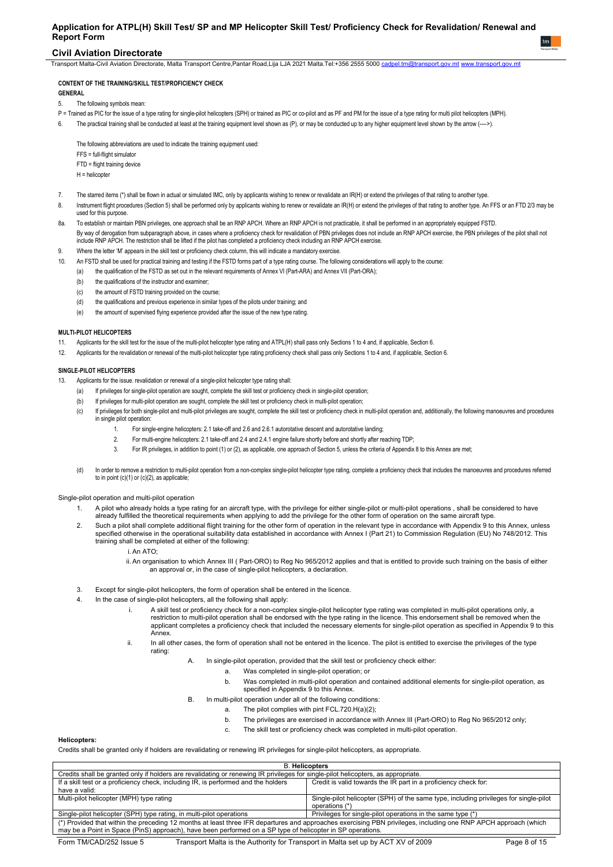## **Civil Aviation Directorate**

Transport Malta-Civil Aviation Directorate, Malta Transport Centre,Pantar Road,Lija LJA 2021 Malta.Tel:+356 2555 5000 <u>[cadpel.tm@transport.gov.mt](mailto:cadpel.tm@transport.gov.mt)</u> www.t<u>ransport.gov.m</u>t

#### **CONTENT OF THE TRAINING/SKILL TEST/PROFICIENCY CHECK GENERAL**

5. The following symbols mean:

- P = Trained as PIC for the issue of a type rating for single-pilot helicopters (SPH) or trained as PIC or co-pilot and as PF and PM for the issue of a type rating for multi pilot helicopters (MPH).
- The practical training shall be conducted at least at the training equipment level shown as (P), or may be conducted up to any higher equipment level shown by the arrow (---->).

The following abbreviations are used to indicate the training equipment used: FFS = full-flight simulator FTD = flight training device H = helicopter

- 7. The starred items (\*) shall be flown in actual or simulated IMC, only by applicants wishing to renew or revalidate an IR(H) or extend the privileges of that rating to another type.
- Instrument flight procedures (Section 5) shall be performed only by applicants wishing to renew or revalidate an IR(H) or extend the privileges of that rating to another type. An FFS or an FTD 2/3 may be used for this purpose.
- 8a. To establish or maintain PBN privileges, one approach shall be an RNP APCH. Where an RNP APCH is not practicable, it shall be performed in an appropriately equipped FSTD. By way of derogation from subparagraph above, in cases where a proficiency check for revalidation of PBN privileges does not include an RNP APCH exercise, the PBN privileges of the pilot shall not include RNP APCH. The restriction shall be lifted if the pilot has completed a proficiency check including an RNP APCH exercise.
- 9. Where the letter 'M' appears in the skill test or proficiency check column, this will indicate a mandatory exercise.
- 10. An FSTD shall be used for practical training and testing if the FSTD forms part of a type rating course. The following considerations will apply to the course:
	- (a) the qualification of the FSTD as set out in the relevant requirements of Annex VI (Part-ARA) and Annex VII (Part-ORA);
	- (b) the qualifications of the instructor and examiner:
	- (c) the amount of FSTD training provided on the course;
	- (d) the qualifications and previous experience in similar types of the pilots under training; and
	- (e) the amount of supervised flying experience provided after the issue of the new type rating.

#### **MULTI-PILOT HELICOPTERS**

- 11. Applicants for the skill test for the issue of the multi-pilot helicopter type rating and ATPL(H) shall pass only Sections 1 to 4 and, if applicable, Section 6.
- 12. Applicants for the revalidation or renewal of the multi-pilot helicopter type rating proficiency check shall pass only Sections 1 to 4 and, if applicable, Section 6.

#### **SINGLE-PILOT HELICOPTERS**

- 13. Applicants for the issue. revalidation or renewal of a single-pilot helicopter type rating shall:
	- (a) If privileges for single-pilot operation are sought, complete the skill test or proficiency check in single-pilot operation;
	- (b) If privileges for multi-pilot operation are sought, complete the skill test or proficiency check in multi-pilot operation;
	- (c) If privileges for both single-pilot and multi-pilot privileges are sought, complete the skill test or proficiency check in multi-pilot operation and, additionally, the following manoeuvres and procedures in single pilot operation:
		- 1. For single-engine helicopters: 2.1 take-off and 2.6 and 2.6.1 autorotative descent and autorotative landing;
			- 2. For multi-engine helicopters: 2.1 take-off and 2.4 and 2.4.1 engine failure shortly before and shortly after reaching TDP;
			- 3. For IR privileges, in addition to point (1) or (2), as applicable, one approach of Section 5, unless the criteria of Appendix 8 to this Annex are met;
	- (d) In order to remove a restriction to multi-pilot operation from a non-complex single-pilot helicopter type rating, complete a proficiency check that includes the manoeuvres and procedures referred to in point (c)(1) or (c)(2), as applicable;

#### Single-pilot operation and multi-pilot operation

- 1. A pilot who already holds a type rating for an aircraft type, with the privilege for either single-pilot or multi-pilot operations , shall be considered to have already fulfilled the theoretical requirements when applying to add the privilege for the other form of operation on the same aircraft type
- 2. Such a pilot shall complete additional flight training for the other form of operation in the relevant type in accordance with Appendix 9 to this Annex, unless specified otherwise in the operational suitability data established in accordance with Annex I (Part 21) to Commission Regulation (EU) No 748/2012. This training shall be completed at either of the following:
	- i. An ATO;
	- ii. An organisation to which Annex III ( Part-ORO) to Reg No 965/2012 applies and that is entitled to provide such training on the basis of either an approval or, in the case of single-pilot helicopters, a declaration.
- 3. Except for single-pilot helicopters, the form of operation shall be entered in the licence.
- 4. In the case of single-pilot helicopters, all the following shall apply:
	- A skill test or proficiency check for a non-complex single-pilot helicopter type rating was completed in multi-pilot operations only, a restriction to multi-pilot operation shall be endorsed with the type rating in the licence. This endorsement shall be removed when the applicant completes a proficiency check that included the necessary elements for single-pilot operation as specified in Appendix 9 to this Annex.
	- ii. In all other cases, the form of operation shall not be entered in the licence. The pilot is entitled to exercise the privileges of the type rating:
		- In single-pilot operation, provided that the skill test or proficiency check either:
			- a. Was completed in single-pilot operation; or
			- b. Was completed in multi-pilot operation and contained additional elements for single-pilot operation, as specified in Appendix 9 to this Annex.
			- B. In multi-pilot operation under all of the following conditions:
				- a. The pilot complies with pint FCL.720.H(a)(2);
				- b. The privileges are exercised in accordance with Annex III (Part-ORO) to Reg No 965/2012 only;
				- c. The skill test or proficiency check was completed in multi-pilot operation.

#### **Helicopters:**

Credits shall be granted only if holders are revalidating or renewing IR privileges for single-pilot helicopters, as appropriate.

| <b>B.</b> Helicopters                                                                                                                                           |                                                                                                                                   |  |  |  |  |
|-----------------------------------------------------------------------------------------------------------------------------------------------------------------|-----------------------------------------------------------------------------------------------------------------------------------|--|--|--|--|
|                                                                                                                                                                 | Credits shall be granted only if holders are revalidating or renewing IR privileges for single-pilot helicopters, as appropriate. |  |  |  |  |
| If a skill test or a proficiency check, including IR, is performed and the holders                                                                              | Credit is valid towards the IR part in a proficiency check for:                                                                   |  |  |  |  |
| have a valid:                                                                                                                                                   |                                                                                                                                   |  |  |  |  |
| Multi-pilot helicopter (MPH) type rating                                                                                                                        | Single-pilot helicopter (SPH) of the same type, including privileges for single-pilot                                             |  |  |  |  |
| operations (*)                                                                                                                                                  |                                                                                                                                   |  |  |  |  |
| Privileges for single-pilot operations in the same type (*)<br>Single-pilot helicopter (SPH) type rating, in multi-pilot operations                             |                                                                                                                                   |  |  |  |  |
| (*) Provided that within the preceding 12 months at least three IFR departures and approaches exercising PBN privileges, including one RNP APCH approach (which |                                                                                                                                   |  |  |  |  |
| may be a Point in Space (PinS) approach), have been performed on a SP type of helicopter in SP operations.                                                      |                                                                                                                                   |  |  |  |  |
| Transport Malta is the Authority for Transport in Malta set up by ACT XV of 2009<br>Page 8 of 15<br>Form TM/CAD/252 Issue 5                                     |                                                                                                                                   |  |  |  |  |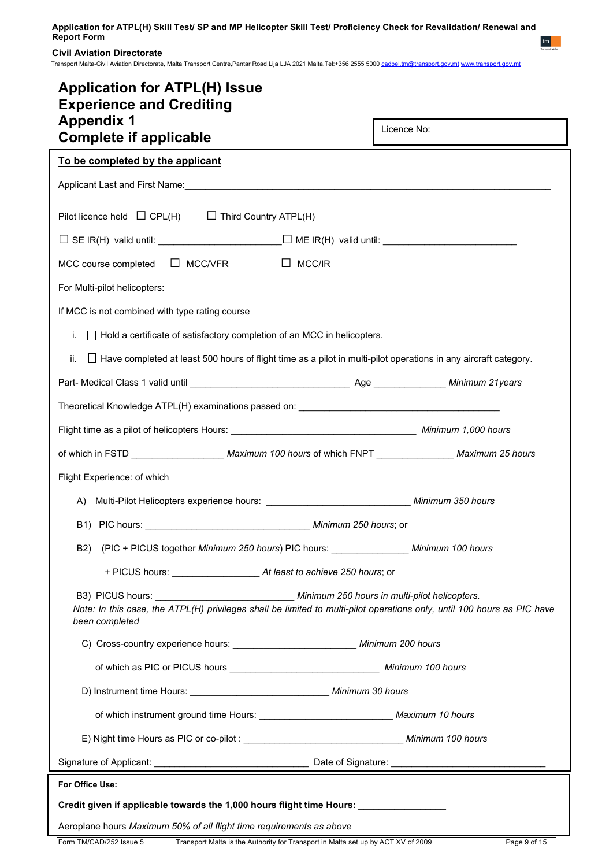## **Civil Aviation Directorate**

Transport Malta-Civil Aviation Directorate, Malta Transport Centre,Pantar Road,Lija LJA 2021 Malta.Tel:+356 2555 5000 [cadpel.tm@transport.gov.mt](mailto:cadpel.tm@transport.gov.mt) [www.transport.gov.mt](http://www.transport.gov.mt/)

| <b>Application for ATPL(H) Issue</b><br><b>Experience and Crediting</b>                                                                                                                                                                     |             |
|---------------------------------------------------------------------------------------------------------------------------------------------------------------------------------------------------------------------------------------------|-------------|
| <b>Appendix 1</b>                                                                                                                                                                                                                           | Licence No: |
| <b>Complete if applicable</b>                                                                                                                                                                                                               |             |
| To be completed by the applicant                                                                                                                                                                                                            |             |
|                                                                                                                                                                                                                                             |             |
| Pilot licence held $\Box$ CPL(H) $\Box$ Third Country ATPL(H)                                                                                                                                                                               |             |
|                                                                                                                                                                                                                                             |             |
| $\Box$<br>MCC course completed $\Box$ MCC/VFR<br>MCC/IR                                                                                                                                                                                     |             |
| For Multi-pilot helicopters:                                                                                                                                                                                                                |             |
| If MCC is not combined with type rating course                                                                                                                                                                                              |             |
| $\Box$ Hold a certificate of satisfactory completion of an MCC in helicopters.<br>I.                                                                                                                                                        |             |
| $\Box$ Have completed at least 500 hours of flight time as a pilot in multi-pilot operations in any aircraft category.<br>ii.                                                                                                               |             |
|                                                                                                                                                                                                                                             |             |
| Theoretical Knowledge ATPL(H) examinations passed on: ___________________________                                                                                                                                                           |             |
|                                                                                                                                                                                                                                             |             |
| of which in FSTD ______________________Maximum 100 hours of which FNPT _________________Maximum 25 hours                                                                                                                                    |             |
| Flight Experience: of which                                                                                                                                                                                                                 |             |
| A) Multi-Pilot Helicopters experience hours: ___________________________________ Minimum 350 hours                                                                                                                                          |             |
|                                                                                                                                                                                                                                             |             |
| (PIC + PICUS together Minimum 250 hours) PIC hours: ________________ Minimum 100 hours<br>B <sub>2</sub> )                                                                                                                                  |             |
|                                                                                                                                                                                                                                             |             |
| B3) PICUS hours: _______________________________ Minimum 250 hours in multi-pilot helicopters.<br>Note: In this case, the ATPL(H) privileges shall be limited to multi-pilot operations only, until 100 hours as PIC have<br>been completed |             |
| C) Cross-country experience hours: _______________________________ Minimum 200 hours                                                                                                                                                        |             |
|                                                                                                                                                                                                                                             |             |
| D) Instrument time Hours: __________________________________ Minimum 30 hours                                                                                                                                                               |             |
|                                                                                                                                                                                                                                             |             |
|                                                                                                                                                                                                                                             |             |
|                                                                                                                                                                                                                                             |             |
| For Office Use:                                                                                                                                                                                                                             |             |
| Credit given if applicable towards the 1,000 hours flight time Hours: ___________                                                                                                                                                           |             |
| Aeroplane hours Maximum 50% of all flight time requirements as above                                                                                                                                                                        |             |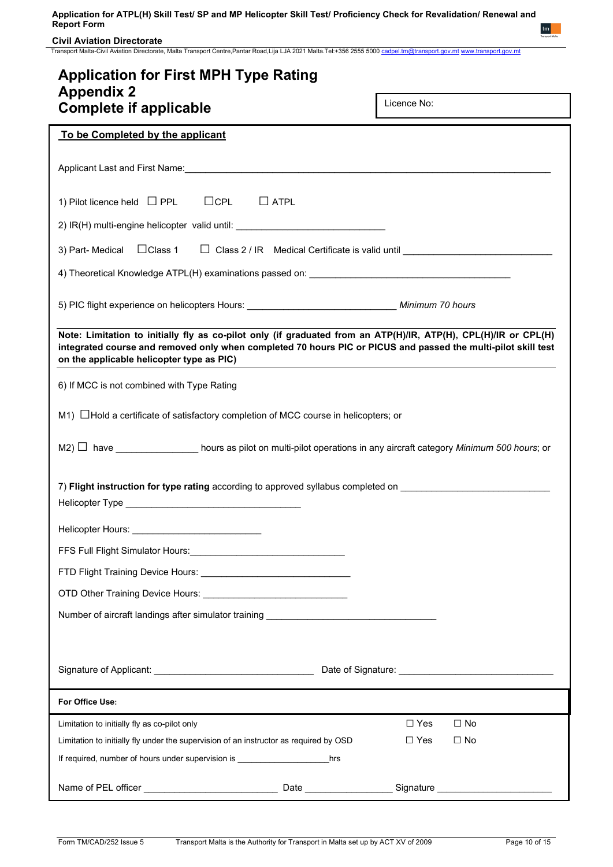**Civil Aviation Directorate**

Transport Malta-Civil Aviation Directorate, Malta Transport Centre,Pantar Road,Lija LJA 2021 Malta.Tel:+356 2555 5000 [cadpel.tm@transport.gov.mt](mailto:cadpel.tm@transport.gov.mt) [www.transport.gov.mt](http://www.transport.gov.mt/)

| <b>Application for First MPH Type Rating</b>                                                                                                                                                                                                                                  |             |             |           |  |  |  |
|-------------------------------------------------------------------------------------------------------------------------------------------------------------------------------------------------------------------------------------------------------------------------------|-------------|-------------|-----------|--|--|--|
| <b>Appendix 2</b><br><b>Complete if applicable</b>                                                                                                                                                                                                                            |             | Licence No: |           |  |  |  |
| To be Completed by the applicant                                                                                                                                                                                                                                              |             |             |           |  |  |  |
|                                                                                                                                                                                                                                                                               |             |             |           |  |  |  |
| $\Box$ CPL<br>1) Pilot licence held $\Box$ PPL                                                                                                                                                                                                                                | $\Box$ ATPL |             |           |  |  |  |
| 2) IR(H) multi-engine helicopter valid until: __________________________________                                                                                                                                                                                              |             |             |           |  |  |  |
| 3) Part- Medical □ Class 1 □ Class 2 / IR Medical Certificate is valid until ______________________                                                                                                                                                                           |             |             |           |  |  |  |
|                                                                                                                                                                                                                                                                               |             |             |           |  |  |  |
| 5) PIC flight experience on helicopters Hours: __________________________________ Minimum 70 hours                                                                                                                                                                            |             |             |           |  |  |  |
| Note: Limitation to initially fly as co-pilot only (if graduated from an ATP(H)/IR, ATP(H), CPL(H)/IR or CPL(H)<br>integrated course and removed only when completed 70 hours PIC or PICUS and passed the multi-pilot skill test<br>on the applicable helicopter type as PIC) |             |             |           |  |  |  |
| 6) If MCC is not combined with Type Rating                                                                                                                                                                                                                                    |             |             |           |  |  |  |
| $M1)$ $\Box$ Hold a certificate of satisfactory completion of MCC course in helicopters; or                                                                                                                                                                                   |             |             |           |  |  |  |
| M2) $\Box$ have _________________ hours as pilot on multi-pilot operations in any aircraft category Minimum 500 hours; or                                                                                                                                                     |             |             |           |  |  |  |
| 7) Flight instruction for type rating according to approved syllabus completed on                                                                                                                                                                                             |             |             |           |  |  |  |
| Helicopter Hours: ___________                                                                                                                                                                                                                                                 |             |             |           |  |  |  |
|                                                                                                                                                                                                                                                                               |             |             |           |  |  |  |
|                                                                                                                                                                                                                                                                               |             |             |           |  |  |  |
| OTD Other Training Device Hours: <b>Campaign Act and Training Order Hours</b>                                                                                                                                                                                                 |             |             |           |  |  |  |
| Number of aircraft landings after simulator training ___________________________                                                                                                                                                                                              |             |             |           |  |  |  |
|                                                                                                                                                                                                                                                                               |             |             |           |  |  |  |
|                                                                                                                                                                                                                                                                               |             |             |           |  |  |  |
| For Office Use:                                                                                                                                                                                                                                                               |             |             |           |  |  |  |
| Limitation to initially fly as co-pilot only                                                                                                                                                                                                                                  |             | $\Box$ Yes  | $\Box$ No |  |  |  |
| Limitation to initially fly under the supervision of an instructor as required by OSD                                                                                                                                                                                         |             | $\Box$ Yes  | $\Box$ No |  |  |  |
| If required, number of hours under supervision is ______________________________                                                                                                                                                                                              | hrs         |             |           |  |  |  |
|                                                                                                                                                                                                                                                                               |             |             |           |  |  |  |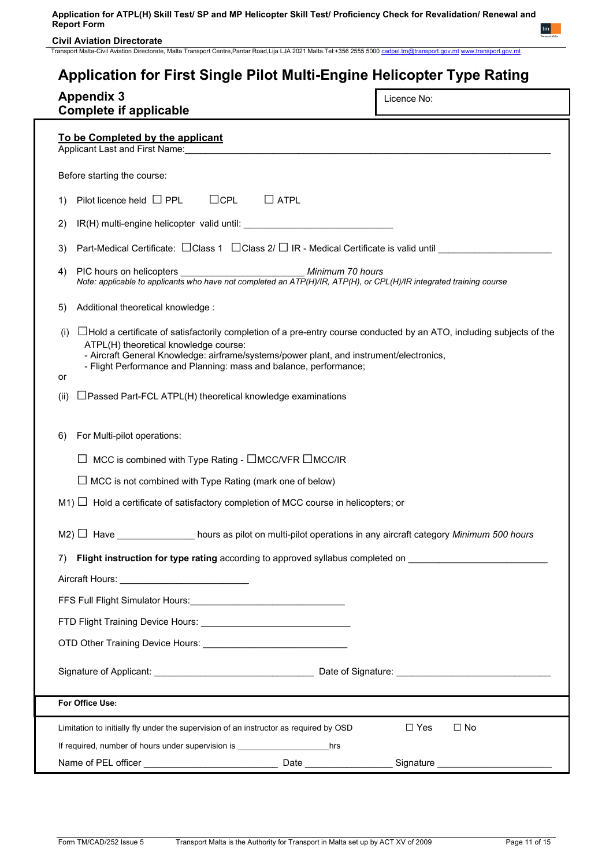**Civil Aviation Directorate**

Transport Malta-Civil Aviation Directorate, Malta Transport Centre,Pantar Road,Lija LJA 2021 Malta.Tel:+356 2555 5000 [cadpel.tm@transport.gov.mt](mailto:cadpel.tm@transport.gov.mt) [www.transport.gov.mt](http://www.transport.gov.mt/)

| Application for First Single Pilot Multi-Engine Helicopter Type Rating                                                                                                                                                                                                                                                                            |             |
|---------------------------------------------------------------------------------------------------------------------------------------------------------------------------------------------------------------------------------------------------------------------------------------------------------------------------------------------------|-------------|
| <b>Appendix 3</b><br><b>Complete if applicable</b>                                                                                                                                                                                                                                                                                                | Licence No: |
| To be Completed by the applicant<br>Applicant Last and First Name:                                                                                                                                                                                                                                                                                |             |
| Before starting the course:                                                                                                                                                                                                                                                                                                                       |             |
| $\Box$ CPL<br>$\Box$ ATPL<br>Pilot licence held $\Box$ PPL<br>1)                                                                                                                                                                                                                                                                                  |             |
| 2)                                                                                                                                                                                                                                                                                                                                                |             |
| Part-Medical Certificate: □ Class 1 □ Class 2/ □ IR - Medical Certificate is valid until _______<br>3)                                                                                                                                                                                                                                            |             |
| PIC hours on helicopters<br>Minimum 70 hours<br>4)<br>Note: applicable to applicants who have not completed an ATP(H)/IR, ATP(H), or CPL(H)/IR integrated training course                                                                                                                                                                         |             |
| Additional theoretical knowledge:<br>5)                                                                                                                                                                                                                                                                                                           |             |
| $\Box$ Hold a certificate of satisfactorily completion of a pre-entry course conducted by an ATO, including subjects of the<br>(i)<br>ATPL(H) theoretical knowledge course:<br>- Aircraft General Knowledge: airframe/systems/power plant, and instrument/electronics,<br>- Flight Performance and Planning: mass and balance, performance;<br>or |             |
| $\Box$ Passed Part-FCL ATPL(H) theoretical knowledge examinations<br>(ii)                                                                                                                                                                                                                                                                         |             |
| For Multi-pilot operations:<br>6)                                                                                                                                                                                                                                                                                                                 |             |
| MCC is combined with Type Rating - □MCC/VFR □MCC/IR                                                                                                                                                                                                                                                                                               |             |
| $\Box$ MCC is not combined with Type Rating (mark one of below)                                                                                                                                                                                                                                                                                   |             |
| $M1$ ) $\Box$ Hold a certificate of satisfactory completion of MCC course in helicopters; or                                                                                                                                                                                                                                                      |             |
| M2) $\Box$ Have _______________ hours as pilot on multi-pilot operations in any aircraft category Minimum 500 hours                                                                                                                                                                                                                               |             |
| Flight instruction for type rating according to approved syllabus completed on _______________________________<br>7)                                                                                                                                                                                                                              |             |
|                                                                                                                                                                                                                                                                                                                                                   |             |
|                                                                                                                                                                                                                                                                                                                                                   |             |
|                                                                                                                                                                                                                                                                                                                                                   |             |
|                                                                                                                                                                                                                                                                                                                                                   |             |

Signature of Applicant: \_\_\_\_\_\_\_\_\_\_\_\_\_\_\_\_\_\_\_\_\_\_\_\_\_\_\_\_\_\_\_ Date of Signature: \_\_\_\_\_\_\_\_\_\_\_\_\_\_\_\_\_\_\_\_\_\_\_\_\_\_\_\_\_\_

| For Office Use:                                                                       |      |           |      |
|---------------------------------------------------------------------------------------|------|-----------|------|
| Limitation to initially fly under the supervision of an instructor as required by OSD |      | □ Yes     | ⊟ No |
| If required, number of hours under supervision is                                     | hrs  |           |      |
| Name of PEL officer                                                                   | Date | Signature |      |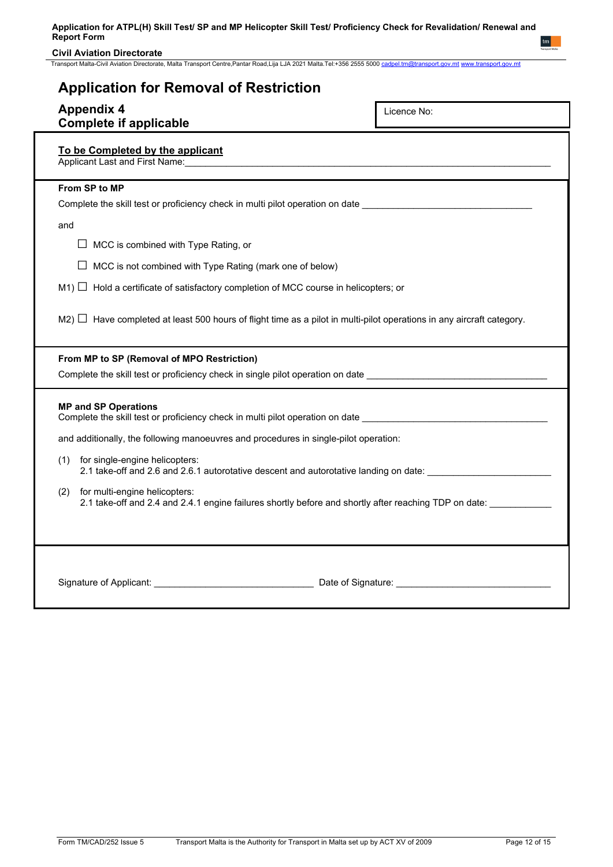## **Civil Aviation Directorate**

Transport Malta-Civil Aviation Directorate, Malta Transport Centre,Pantar Road,Lija LJA 2021 Malta.Tel:+356 2555 5000 [cadpel.tm@transport.gov.mt](mailto:cadpel.tm@transport.gov.mt) [www.transport.gov.mt](http://www.transport.gov.mt/)

| <b>Application for Removal of Restriction</b>                                                                                                                                                                                                                                   |                    |  |  |
|---------------------------------------------------------------------------------------------------------------------------------------------------------------------------------------------------------------------------------------------------------------------------------|--------------------|--|--|
| <b>Appendix 4</b><br><b>Complete if applicable</b>                                                                                                                                                                                                                              | Licence No:        |  |  |
| To be Completed by the applicant<br>Applicant Last and First Name: Manual Applicant Contract Contract Contract Contract Contract Contract Contract Contract Contract Contract Contract Contract Contract Contract Contract Contract Contract Contract Contract Con              |                    |  |  |
| From SP to MP                                                                                                                                                                                                                                                                   |                    |  |  |
| Complete the skill test or proficiency check in multi pilot operation on date                                                                                                                                                                                                   |                    |  |  |
| and                                                                                                                                                                                                                                                                             |                    |  |  |
| $\Box$ MCC is combined with Type Rating, or                                                                                                                                                                                                                                     |                    |  |  |
| $\Box$ MCC is not combined with Type Rating (mark one of below)                                                                                                                                                                                                                 |                    |  |  |
| $M1)$ $\Box$ Hold a certificate of satisfactory completion of MCC course in helicopters; or                                                                                                                                                                                     |                    |  |  |
| $M2$ ) $\Box$ Have completed at least 500 hours of flight time as a pilot in multi-pilot operations in any aircraft category.                                                                                                                                                   |                    |  |  |
| From MP to SP (Removal of MPO Restriction)                                                                                                                                                                                                                                      |                    |  |  |
| Complete the skill test or proficiency check in single pilot operation on date entries and the state of the state of the state of the state of the state of the state of the state of the state of the state of the state of t                                                  |                    |  |  |
| <b>MP and SP Operations</b><br>Complete the skill test or proficiency check in multi pilot operation on date entertainment of the state of the<br>and additionally, the following manoeuvres and procedures in single-pilot operation:<br>for single-engine helicopters:<br>(1) |                    |  |  |
| 2.1 take-off and 2.6 and 2.6.1 autorotative descent and autorotative landing on date:                                                                                                                                                                                           |                    |  |  |
| for multi-engine helicopters:<br>(2)<br>2.1 take-off and 2.4 and 2.4.1 engine failures shortly before and shortly after reaching TDP on date:                                                                                                                                   |                    |  |  |
| Signature of Applicant:                                                                                                                                                                                                                                                         | Date of Signature: |  |  |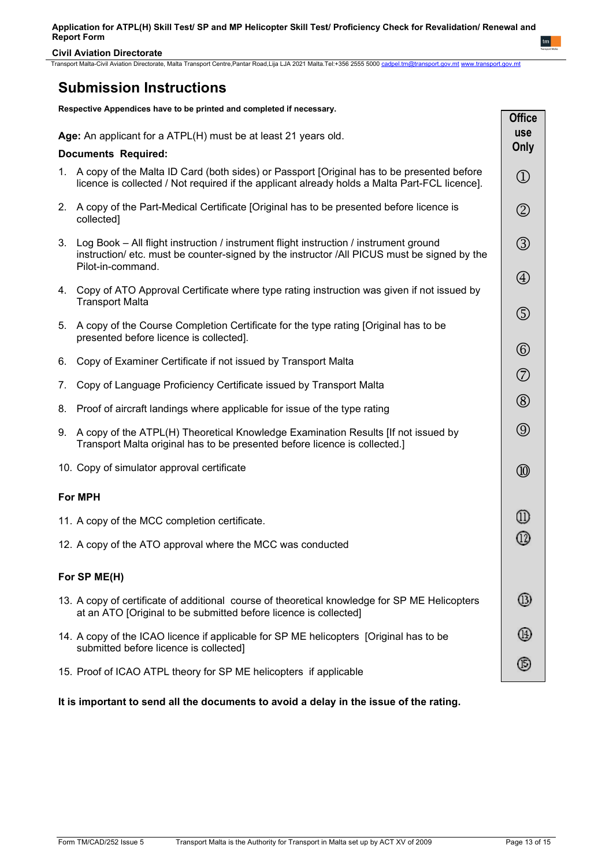**Civil Aviation Directorate**

Transport Malta-Civil Aviation Directorate, Malta Transport Centre,Pantar Road,Lija LJA 2021 Malta.Tel:+356 2555 5000 [cadpel.tm@transport.gov.mt](mailto:cadpel.tm@transport.gov.mt) [www.transport.gov.mt](http://www.transport.gov.mt/)

# **Submission Instructions**

**Respective Appendices have to be printed and completed if necessary.**

|    |                                                                                                                                                                                                              | <b>OIIICA</b>                  |
|----|--------------------------------------------------------------------------------------------------------------------------------------------------------------------------------------------------------------|--------------------------------|
|    | Age: An applicant for a ATPL(H) must be at least 21 years old.                                                                                                                                               | <b>use</b>                     |
|    | <b>Documents Required:</b>                                                                                                                                                                                   | Only                           |
|    | 1. A copy of the Malta ID Card (both sides) or Passport [Original has to be presented before<br>licence is collected / Not required if the applicant already holds a Malta Part-FCL licence].                | $\textcircled{\scriptsize{1}}$ |
| 2. | A copy of the Part-Medical Certificate [Original has to be presented before licence is<br>collected]                                                                                                         | $^\copyright$                  |
|    | 3. Log Book - All flight instruction / instrument flight instruction / instrument ground<br>instruction/ etc. must be counter-signed by the instructor /All PICUS must be signed by the<br>Pilot-in-command. | $\circledS$                    |
|    | 4. Copy of ATO Approval Certificate where type rating instruction was given if not issued by<br><b>Transport Malta</b>                                                                                       | $\bigcircled{4}$               |
| 5. | A copy of the Course Completion Certificate for the type rating [Original has to be<br>presented before licence is collected].                                                                               | $\circledS$                    |
| 6. | Copy of Examiner Certificate if not issued by Transport Malta                                                                                                                                                | $^{\circledR}$                 |
|    |                                                                                                                                                                                                              | $\circledcirc$                 |
| 7. | Copy of Language Proficiency Certificate issued by Transport Malta                                                                                                                                           |                                |
| 8. | Proof of aircraft landings where applicable for issue of the type rating                                                                                                                                     | $^{\circledR}$                 |
| 9. | A copy of the ATPL(H) Theoretical Knowledge Examination Results [If not issued by<br>Transport Malta original has to be presented before licence is collected.]                                              | $\circledS$                    |
|    | 10. Copy of simulator approval certificate                                                                                                                                                                   | $^{\circledR}$                 |
|    | <b>For MPH</b>                                                                                                                                                                                               |                                |
|    | 11. A copy of the MCC completion certificate.                                                                                                                                                                | ⊕                              |
|    | 12. A copy of the ATO approval where the MCC was conducted                                                                                                                                                   | ⓪                              |
|    | For SP ME(H)                                                                                                                                                                                                 |                                |
|    | 13. A copy of certificate of additional course of theoretical knowledge for SP ME Helicopters<br>at an ATO [Original to be submitted before licence is collected]                                            | (13)                           |
|    | 14. A copy of the ICAO licence if applicable for SP ME helicopters [Original has to be<br>submitted before licence is collected]                                                                             | (14)                           |
|    | 15. Proof of ICAO ATPL theory for SP ME helicopters if applicable                                                                                                                                            | (5)                            |

**It is important to send all the documents to avoid a delay in the issue of the rating.**

**Office**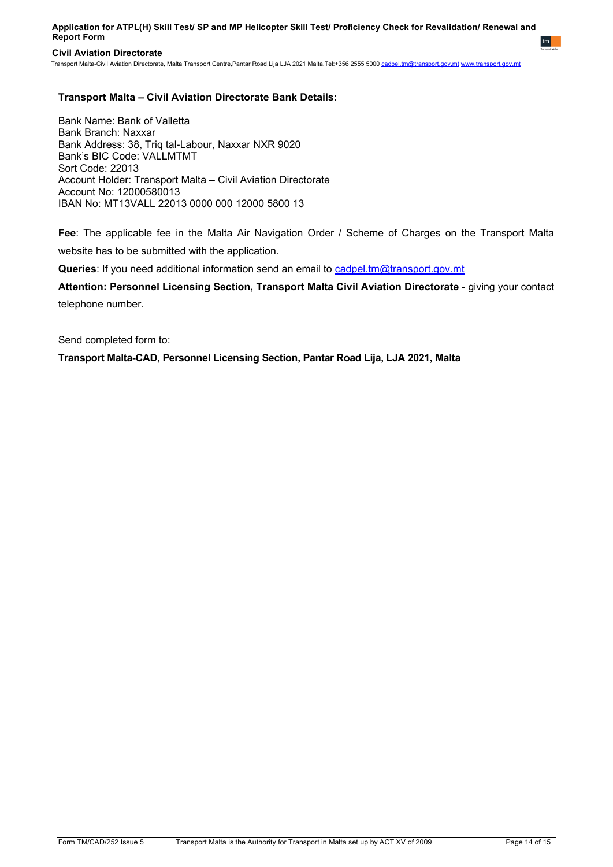## **Civil Aviation Directorate**

Transport Malta-Civil Aviation Directorate, Malta Transport Centre,Pantar Road,Lija LJA 2021 Malta.Tel:+356 2555 5000 [cadpel.tm@transport.gov.mt](mailto:cadpel.tm@transport.gov.mt) [www.transport.gov.mt](http://www.transport.gov.mt/)

## **Transport Malta – Civil Aviation Directorate Bank Details:**

Bank Name: Bank of Valletta Bank Branch: Naxxar Bank Address: 38, Triq tal-Labour, Naxxar NXR 9020 Bank's BIC Code: VALLMTMT Sort Code: 22013 Account Holder: Transport Malta – Civil Aviation Directorate Account No: 12000580013 IBAN No: MT13VALL 22013 0000 000 12000 5800 13

**Fee**: The applicable fee in the Malta Air Navigation Order / Scheme of Charges on the Transport Malta website has to be submitted with the application.

**Queries**: If you need additional information send an email to [cadpel.tm@transport.gov.mt](mailto:cadpel.tm@transport.gov.mt) 

Attention: Personnel Licensing Section, Transport Malta Civil Aviation Directorate - giving your contact telephone number.

Send completed form to:

**Transport Malta-CAD, Personnel Licensing Section, Pantar Road Lija, LJA 2021, Malta**